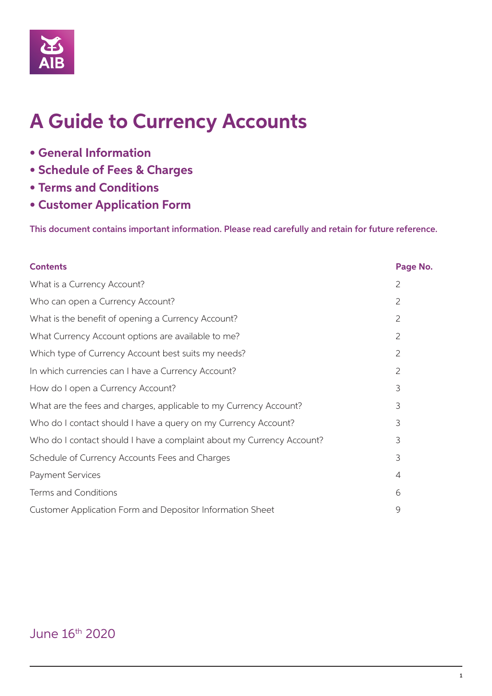

# **A Guide to Currency Accounts**

- **General Information**
- **Schedule of Fees & Charges**
- **Terms and Conditions**
- **Customer Application Form**

This document contains important information. Please read carefully and retain for future reference.

| <b>Contents</b>                                                       | Page No.       |
|-----------------------------------------------------------------------|----------------|
| What is a Currency Account?                                           | $\overline{2}$ |
| Who can open a Currency Account?                                      | $\overline{2}$ |
| What is the benefit of opening a Currency Account?                    | $\overline{2}$ |
| What Currency Account options are available to me?                    | 2              |
| Which type of Currency Account best suits my needs?                   | $\overline{2}$ |
| In which currencies can I have a Currency Account?                    | $\overline{2}$ |
| How do I open a Currency Account?                                     | 3              |
| What are the fees and charges, applicable to my Currency Account?     | 3              |
| Who do I contact should I have a query on my Currency Account?        | 3              |
| Who do I contact should I have a complaint about my Currency Account? | 3              |
| Schedule of Currency Accounts Fees and Charges                        | 3              |
| <b>Payment Services</b>                                               | $\overline{4}$ |
| Terms and Conditions                                                  | 6              |
| Customer Application Form and Depositor Information Sheet             | 9              |

# June 16th 2020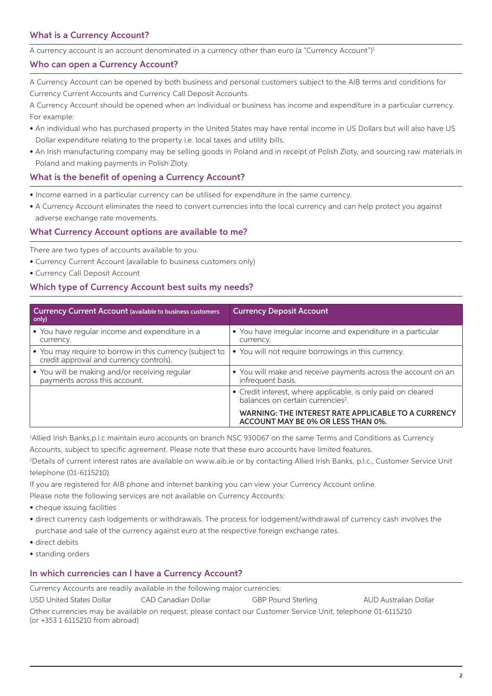# What is a Currency Account?

A currency account is an account denominated in a currency other than euro (a "Currency Account")<sup>1</sup>

#### Who can open a Currency Account?

A Currency Account can be opened by both business and personal customers subject to the AIB terms and conditions for Currency Current Accounts and Currency Call Deposit Accounts.

A Currency Account should be opened when an individual or business has income and expenditure in a particular currency. For example:

- An individual who has purchased property in the United States may have rental income in US Dollars but will also have US Dollar expenditure relating to the property i.e. local taxes and utility bills.
- An Irish manufacturing company may be selling goods in Poland and in receipt of Polish Zloty, and sourcing raw materials in Poland and making payments in Polish Zloty.

#### What is the benefit of opening a Currency Account?

- Income earned in a particular currency can be utilised for expenditure in the same currency.
- A Currency Account eliminates the need to convert currencies into the local currency and can help protect you against adverse exchange rate movements.

#### What Currency Account options are available to me?

There are two types of accounts available to you.

- Currency Current Account (available to business customers only)
- Currency Call Deposit Account

#### Which type of Currency Account best suits my needs?

| Currency Current Account (available to business customers<br>only)                                  | <b>Currency Deposit Account</b>                                                                               |
|-----------------------------------------------------------------------------------------------------|---------------------------------------------------------------------------------------------------------------|
| • You have regular income and expenditure in a<br>currency.                                         | • You have irregular income and expenditure in a particular<br>currency.                                      |
| • You may require to borrow in this currency (subject to<br>credit approval and currency controls). | • You will not require borrowings in this currency.                                                           |
| • You will be making and/or receiving regular<br>payments across this account.                      | • You will make and receive payments across the account on an<br>infrequent basis.                            |
|                                                                                                     | • Credit interest, where applicable, is only paid on cleared<br>balances on certain currencies <sup>2</sup> . |
|                                                                                                     | WARNING: THE INTEREST RATE APPLICABLE TO A CURRENCY<br>ACCOUNT MAY BE 0% OR LESS THAN 0%.                     |

1 Allied Irish Banks,p.l.c maintain euro accounts on branch NSC 930067 on the same Terms and Conditions as Currency

Accounts, subject to specific agreement. Please note that these euro accounts have limited features.

2 Details of current interest rates are available on www.aib.ie or by contacting Allied Irish Banks, p.l.c., Customer Service Unit telephone (01-6115210).

If you are registered for AIB phone and internet banking you can view your Currency Account online.

Please note the following services are not available on Currency Accounts:

- cheque issuing facilities
- direct currency cash lodgements or withdrawals. The process for lodgement/withdrawal of currency cash involves the purchase and sale of the currency against euro at the respective foreign exchange rates.
- direct debits
- standing orders

#### In which currencies can I have a Currency Account?

Currency Accounts are readily available in the following major currencies:

USD United States Dollar CAD Canadian Dollar GBP Pound Sterling AUD Australian Dollar Other currencies may be available on request, please contact our Customer Service Unit, telephone 01-6115210 (or +353 1 6115210 from abroad)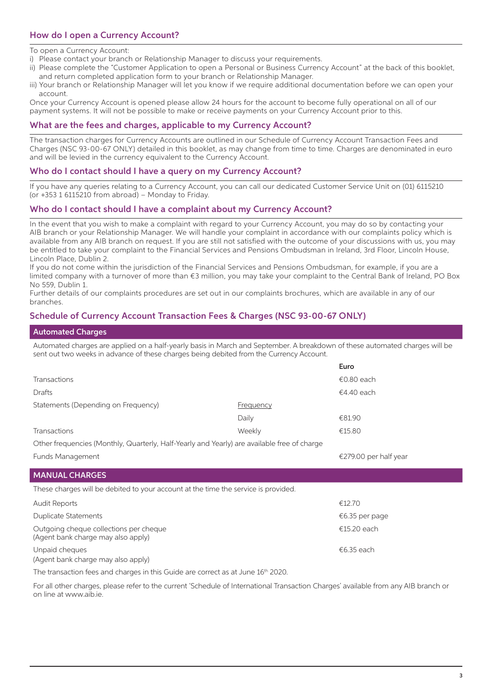# How do I open a Currency Account?

To open a Currency Account:

- i) Please contact your branch or Relationship Manager to discuss your requirements.
- ii) Please complete the "Customer Application to open a Personal or Business Currency Account" at the back of this booklet, and return completed application form to your branch or Relationship Manager.
- iii) Your branch or Relationship Manager will let you know if we require additional documentation before we can open your account.

Once your Currency Account is opened please allow 24 hours for the account to become fully operational on all of our payment systems. It will not be possible to make or receive payments on your Currency Account prior to this.

#### What are the fees and charges, applicable to my Currency Account?

The transaction charges for Currency Accounts are outlined in our Schedule of Currency Account Transaction Fees and Charges (NSC 93-00-67 ONLY) detailed in this booklet, as may change from time to time. Charges are denominated in euro and will be levied in the currency equivalent to the Currency Account.

#### Who do I contact should I have a query on my Currency Account?

If you have any queries relating to a Currency Account, you can call our dedicated Customer Service Unit on (01) 6115210 (or +353 1 6115210 from abroad) – Monday to Friday.

#### Who do I contact should I have a complaint about my Currency Account?

In the event that you wish to make a complaint with regard to your Currency Account, you may do so by contacting your AIB branch or your Relationship Manager. We will handle your complaint in accordance with our complaints policy which is available from any AIB branch on request. If you are still not satisfied with the outcome of your discussions with us, you may be entitled to take your complaint to the Financial Services and Pensions Ombudsman in Ireland, 3rd Floor, Lincoln House, Lincoln Place, Dublin 2.

If you do not come within the jurisdiction of the Financial Services and Pensions Ombudsman, for example, if you are a limited company with a turnover of more than €3 million, you may take your complaint to the Central Bank of Ireland, PO Box No 559, Dublin 1.

Further details of our complaints procedures are set out in our complaints brochures, which are available in any of our branches.

#### Schedule of Currency Account Transaction Fees & Charges (NSC 93-00-67 ONLY)

#### Automated Charges

Automated charges are applied on a half-yearly basis in March and September. A breakdown of these automated charges will be sent out two weeks in advance of these charges being debited from the Currency Account.

|                                                                                             |                  | Euro                  |  |
|---------------------------------------------------------------------------------------------|------------------|-----------------------|--|
| <b>Transactions</b>                                                                         |                  | €0.80 each            |  |
| Drafts                                                                                      |                  | €4.40 each            |  |
| Statements (Depending on Frequency)                                                         | <b>Frequency</b> |                       |  |
|                                                                                             | Daily            | €81.90                |  |
| Transactions                                                                                | Weekly           | €15.80                |  |
| Other frequencies (Monthly, Quarterly, Half-Yearly and Yearly) are available free of charge |                  |                       |  |
| Funds Management                                                                            |                  | €279.00 per half year |  |
| <b>MANUAL CHARGES</b>                                                                       |                  |                       |  |
|                                                                                             |                  |                       |  |
| These charges will be debited to your account at the time the service is provided.          |                  |                       |  |
| <b>Audit Reports</b>                                                                        |                  | €12.70                |  |
| Duplicate Statements                                                                        |                  | €6.35 per page        |  |
| Outgoing cheque collections per cheque<br>(Agent bank charge may also apply)                |                  | €15.20 each           |  |
| Unpaid cheques<br>(Agent bank charge may also apply)                                        |                  | €6.35 each            |  |

The transaction fees and charges in this Guide are correct as at June 16<sup>th</sup> 2020.

For all other charges, please refer to the current 'Schedule of International Transaction Charges' available from any AIB branch or on line at www.aib.ie.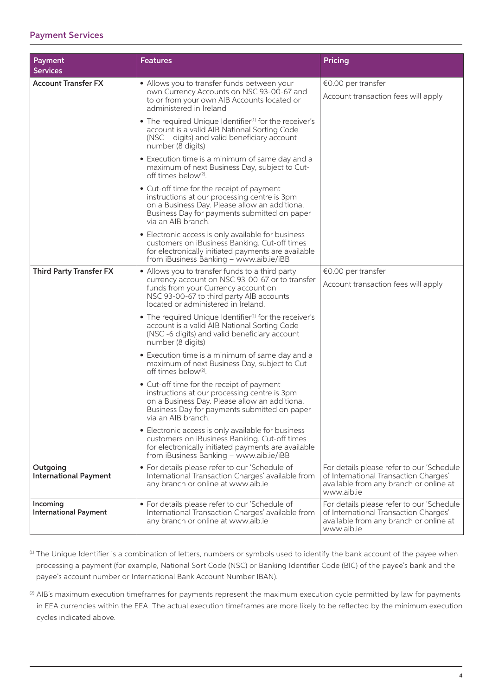# Payment Services

| Payment<br><b>Services</b>               | <b>Features</b>                                                                                                                                                                                                  | <b>Pricing</b>                                                                                                                             |
|------------------------------------------|------------------------------------------------------------------------------------------------------------------------------------------------------------------------------------------------------------------|--------------------------------------------------------------------------------------------------------------------------------------------|
| <b>Account Transfer FX</b>               | • Allows you to transfer funds between your<br>own Currency Accounts on NSC 93-00-67 and<br>to or from your own AIB Accounts located or<br>administered in Ireland                                               | €0.00 per transfer<br>Account transaction fees will apply                                                                                  |
|                                          | • The required Unique Identifier <sup>(1)</sup> for the receiver's<br>account is a valid AIB National Sorting Code<br>(NSC – digits) and valid beneficiary account<br>number (8 digits)                          |                                                                                                                                            |
|                                          | • Execution time is a minimum of same day and a<br>maximum of next Business Day, subject to Cut-<br>off times below <sup>(2)</sup> .                                                                             |                                                                                                                                            |
|                                          | • Cut-off time for the receipt of payment<br>instructions at our processing centre is 3pm<br>on a Business Day. Please allow an additional<br>Business Day for payments submitted on paper<br>via an AIB branch. |                                                                                                                                            |
|                                          | • Electronic access is only available for business<br>customers on iBusiness Banking. Cut-off times<br>for electronically initiated payments are available<br>from iBusiness Banking - www.aib.ie/iBB            |                                                                                                                                            |
| <b>Third Party Transfer FX</b>           | • Allows you to transfer funds to a third party                                                                                                                                                                  | €0.00 per transfer                                                                                                                         |
|                                          | currency account on NSC 93-00-67 or to transfer<br>funds from your Currency account on<br>NSC 93-00-67 to third party AIB accounts<br>located or administered in Ireland.                                        | Account transaction fees will apply                                                                                                        |
|                                          | • The required Unique Identifier <sup>(1)</sup> for the receiver's<br>account is a valid AIB National Sorting Code<br>(NSC-6 digits) and valid beneficiary account<br>number (8 digits)                          |                                                                                                                                            |
|                                          | • Execution time is a minimum of same day and a<br>maximum of next Business Day, subject to Cut-<br>off times below <sup>(2)</sup> .                                                                             |                                                                                                                                            |
|                                          | • Cut-off time for the receipt of payment<br>instructions at our processing centre is 3pm<br>on a Business Day. Please allow an additional<br>Business Day for payments submitted on paper<br>via an AIB branch. |                                                                                                                                            |
|                                          | • Electronic access is only available for business<br>customers on iBusiness Banking. Cut-off times<br>for electronically initiated payments are available<br>from iBusiness Banking - www.aib.ie/iBB            |                                                                                                                                            |
| Outgoing<br><b>International Payment</b> | • For details please refer to our 'Schedule of<br>International Transaction Charges' available from<br>any branch or online at www.aib.ie                                                                        | For details please refer to our 'Schedule<br>of International Transaction Charges'<br>available from any branch or online at<br>www.aib.ie |
| Incoming<br><b>International Payment</b> | • For details please refer to our 'Schedule of<br>International Transaction Charges' available from<br>any branch or online at www.aib.ie                                                                        | For details please refer to our 'Schedule<br>of International Transaction Charges'<br>available from any branch or online at<br>www.aib.ie |

- (1) The Unique Identifier is a combination of letters, numbers or symbols used to identify the bank account of the payee when processing a payment (for example, National Sort Code (NSC) or Banking Identifier Code (BIC) of the payee's bank and the payee's account number or International Bank Account Number IBAN).
- <sup>(2)</sup> AIB's maximum execution timeframes for payments represent the maximum execution cycle permitted by law for payments in EEA currencies within the EEA. The actual execution timeframes are more likely to be reflected by the minimum execution cycles indicated above.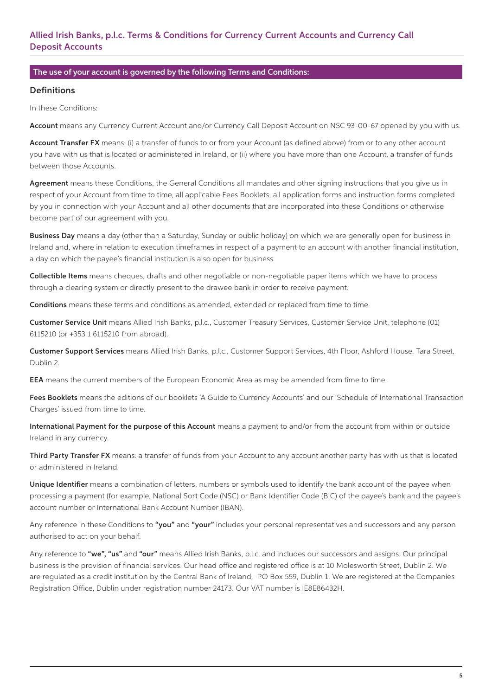# Allied Irish Banks, p.l.c. Terms & Conditions for Currency Current Accounts and Currency Call Deposit Accounts

#### The use of your account is governed by the following Terms and Conditions:

#### **Definitions**

In these Conditions:

Account means any Currency Current Account and/or Currency Call Deposit Account on NSC 93-00-67 opened by you with us.

Account Transfer FX means: (i) a transfer of funds to or from your Account (as defined above) from or to any other account you have with us that is located or administered in Ireland, or (ii) where you have more than one Account, a transfer of funds between those Accounts.

Agreement means these Conditions, the General Conditions all mandates and other signing instructions that you give us in respect of your Account from time to time, all applicable Fees Booklets, all application forms and instruction forms completed by you in connection with your Account and all other documents that are incorporated into these Conditions or otherwise become part of our agreement with you.

Business Day means a day (other than a Saturday, Sunday or public holiday) on which we are generally open for business in Ireland and, where in relation to execution timeframes in respect of a payment to an account with another financial institution, a day on which the payee's financial institution is also open for business.

Collectible Items means cheques, drafts and other negotiable or non-negotiable paper items which we have to process through a clearing system or directly present to the drawee bank in order to receive payment.

Conditions means these terms and conditions as amended, extended or replaced from time to time.

Customer Service Unit means Allied Irish Banks, p.l.c., Customer Treasury Services, Customer Service Unit, telephone (01) 6115210 (or +353 1 6115210 from abroad).

Customer Support Services means Allied Irish Banks, p.l.c., Customer Support Services, 4th Floor, Ashford House, Tara Street, Dublin 2.

EEA means the current members of the European Economic Area as may be amended from time to time.

Fees Booklets means the editions of our booklets 'A Guide to Currency Accounts' and our 'Schedule of International Transaction Charges' issued from time to time.

International Payment for the purpose of this Account means a payment to and/or from the account from within or outside Ireland in any currency.

Third Party Transfer FX means: a transfer of funds from your Account to any account another party has with us that is located or administered in Ireland.

Unique Identifier means a combination of letters, numbers or symbols used to identify the bank account of the payee when processing a payment (for example, National Sort Code (NSC) or Bank Identifier Code (BIC) of the payee's bank and the payee's account number or International Bank Account Number (IBAN).

Any reference in these Conditions to "you" and "your" includes your personal representatives and successors and any person authorised to act on your behalf.

Any reference to "we", "us" and "our" means Allied Irish Banks, p.l.c. and includes our successors and assigns. Our principal business is the provision of financial services. Our head office and registered office is at 10 Molesworth Street, Dublin 2. We are regulated as a credit institution by the Central Bank of Ireland, PO Box 559, Dublin 1. We are registered at the Companies Registration Office, Dublin under registration number 24173. Our VAT number is IE8E86432H.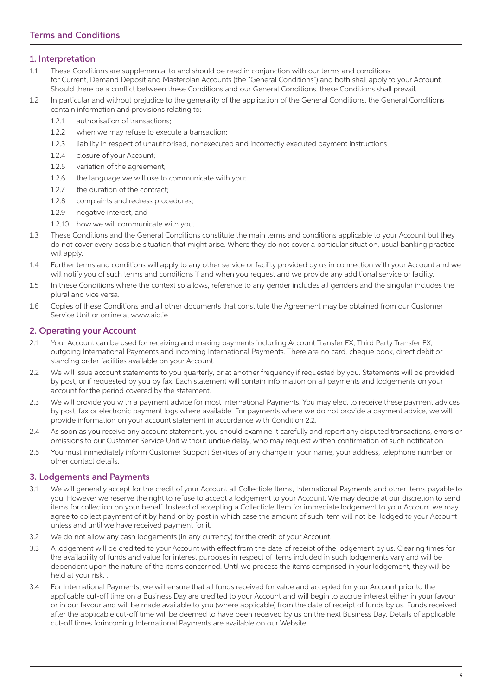### 1. Interpretation

- 1.1 These Conditions are supplemental to and should be read in conjunction with our terms and conditions for Current, Demand Deposit and Masterplan Accounts (the "General Conditions") and both shall apply to your Account. Should there be a conflict between these Conditions and our General Conditions, these Conditions shall prevail.
- 1.2 In particular and without prejudice to the generality of the application of the General Conditions, the General Conditions contain information and provisions relating to:
	- 1.2.1 authorisation of transactions;
	- 1.2.2 when we may refuse to execute a transaction;
	- 1.2.3 liability in respect of unauthorised, nonexecuted and incorrectly executed payment instructions;
	- 1.2.4 closure of your Account;
	- 1.2.5 variation of the agreement;
	- 1.2.6 the language we will use to communicate with you;
	- 1.2.7 the duration of the contract;
	- 1.2.8 complaints and redress procedures;
	- 1.2.9 negative interest; and
	- 1.2.10 how we will communicate with you.
- 1.3 These Conditions and the General Conditions constitute the main terms and conditions applicable to your Account but they do not cover every possible situation that might arise. Where they do not cover a particular situation, usual banking practice will apply.
- 1.4 Further terms and conditions will apply to any other service or facility provided by us in connection with your Account and we will notify you of such terms and conditions if and when you request and we provide any additional service or facility.
- 1.5 In these Conditions where the context so allows, reference to any gender includes all genders and the singular includes the plural and vice versa.
- 1.6 Copies of these Conditions and all other documents that constitute the Agreement may be obtained from our Customer Service Unit or online at www.aib.ie

#### 2. Operating your Account

- 2.1 Your Account can be used for receiving and making payments including Account Transfer FX, Third Party Transfer FX, outgoing International Payments and incoming International Payments. There are no card, cheque book, direct debit or standing order facilities available on your Account.
- 2.2 We will issue account statements to you quarterly, or at another frequency if requested by you. Statements will be provided by post, or if requested by you by fax. Each statement will contain information on all payments and lodgements on your account for the period covered by the statement.
- 2.3 We will provide you with a payment advice for most International Payments. You may elect to receive these payment advices by post, fax or electronic payment logs where available. For payments where we do not provide a payment advice, we will provide information on your account statement in accordance with Condition 2.2.
- 2.4 As soon as you receive any account statement, you should examine it carefully and report any disputed transactions, errors or omissions to our Customer Service Unit without undue delay, who may request written confirmation of such notification.
- 2.5 You must immediately inform Customer Support Services of any change in your name, your address, telephone number or other contact details.

### 3. Lodgements and Payments

- 3.1 We will generally accept for the credit of your Account all Collectible Items, International Payments and other items payable to you. However we reserve the right to refuse to accept a lodgement to your Account. We may decide at our discretion to send items for collection on your behalf. Instead of accepting a Collectible Item for immediate lodgement to your Account we may agree to collect payment of it by hand or by post in which case the amount of such item will not be lodged to your Account unless and until we have received payment for it.
- 3.2 We do not allow any cash lodgements (in any currency) for the credit of your Account.
- 3.3 A lodgement will be credited to your Account with effect from the date of receipt of the lodgement by us. Clearing times for the availability of funds and value for interest purposes in respect of items included in such lodgements vary and will be dependent upon the nature of the items concerned. Until we process the items comprised in your lodgement, they will be held at your risk. .
- 3.4 For International Payments, we will ensure that all funds received for value and accepted for your Account prior to the applicable cut-off time on a Business Day are credited to your Account and will begin to accrue interest either in your favour or in our favour and will be made available to you (where applicable) from the date of receipt of funds by us. Funds received after the applicable cut-off time will be deemed to have been received by us on the next Business Day. Details of applicable cut-off times forincoming International Payments are available on our Website.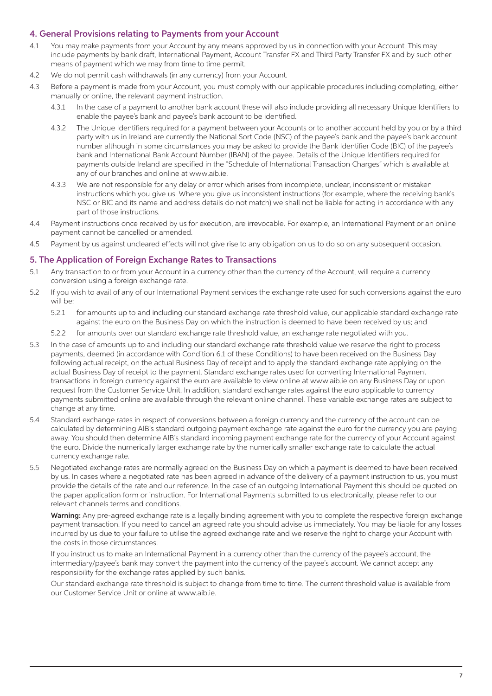#### 4. General Provisions relating to Payments from your Account

- 4.1 You may make payments from your Account by any means approved by us in connection with your Account. This may include payments by bank draft, International Payment, Account Transfer FX and Third Party Transfer FX and by such other means of payment which we may from time to time permit.
- 4.2 We do not permit cash withdrawals (in any currency) from your Account.
- 4.3 Before a payment is made from your Account, you must comply with our applicable procedures including completing, either manually or online, the relevant payment instruction.
	- 4.3.1 In the case of a payment to another bank account these will also include providing all necessary Unique Identifiers to enable the payee's bank and payee's bank account to be identified.
	- 4.3.2 The Unique Identifiers required for a payment between your Accounts or to another account held by you or by a third party with us in Ireland are currently the National Sort Code (NSC) of the payee's bank and the payee's bank account number although in some circumstances you may be asked to provide the Bank Identifier Code (BIC) of the payee's bank and International Bank Account Number (IBAN) of the payee. Details of the Unique Identifiers required for payments outside Ireland are specified in the "Schedule of International Transaction Charges" which is available at any of our branches and online at www.aib.ie.
	- 4.3.3 We are not responsible for any delay or error which arises from incomplete, unclear, inconsistent or mistaken instructions which you give us. Where you give us inconsistent instructions (for example, where the receiving bank's NSC or BIC and its name and address details do not match) we shall not be liable for acting in accordance with any part of those instructions.
- 4.4 Payment instructions once received by us for execution, are irrevocable. For example, an International Payment or an online payment cannot be cancelled or amended.
- 4.5 Payment by us against uncleared effects will not give rise to any obligation on us to do so on any subsequent occasion.

#### 5. The Application of Foreign Exchange Rates to Transactions

- 5.1 Any transaction to or from your Account in a currency other than the currency of the Account, will require a currency conversion using a foreign exchange rate.
- 5.2 If you wish to avail of any of our International Payment services the exchange rate used for such conversions against the euro will be:
	- 5.2.1 for amounts up to and including our standard exchange rate threshold value, our applicable standard exchange rate against the euro on the Business Day on which the instruction is deemed to have been received by us; and
	- 5.2.2 for amounts over our standard exchange rate threshold value, an exchange rate negotiated with you.
- 5.3 In the case of amounts up to and including our standard exchange rate threshold value we reserve the right to process payments, deemed (in accordance with Condition 6.1 of these Conditions) to have been received on the Business Day following actual receipt, on the actual Business Day of receipt and to apply the standard exchange rate applying on the actual Business Day of receipt to the payment. Standard exchange rates used for converting International Payment transactions in foreign currency against the euro are available to view online at www.aib.ie on any Business Day or upon request from the Customer Service Unit. In addition, standard exchange rates against the euro applicable to currency payments submitted online are available through the relevant online channel. These variable exchange rates are subject to change at any time.
- 5.4 Standard exchange rates in respect of conversions between a foreign currency and the currency of the account can be calculated by determining AIB's standard outgoing payment exchange rate against the euro for the currency you are paying away. You should then determine AIB's standard incoming payment exchange rate for the currency of your Account against the euro. Divide the numerically larger exchange rate by the numerically smaller exchange rate to calculate the actual currency exchange rate.
- 5.5 Negotiated exchange rates are normally agreed on the Business Day on which a payment is deemed to have been received by us. In cases where a negotiated rate has been agreed in advance of the delivery of a payment instruction to us, you must provide the details of the rate and our reference. In the case of an outgoing International Payment this should be quoted on the paper application form or instruction. For International Payments submitted to us electronically, please refer to our relevant channels terms and conditions.

Warning: Any pre-agreed exchange rate is a legally binding agreement with you to complete the respective foreign exchange payment transaction. If you need to cancel an agreed rate you should advise us immediately. You may be liable for any losses incurred by us due to your failure to utilise the agreed exchange rate and we reserve the right to charge your Account with the costs in those circumstances.

 If you instruct us to make an International Payment in a currency other than the currency of the payee's account, the intermediary/payee's bank may convert the payment into the currency of the payee's account. We cannot accept any responsibility for the exchange rates applied by such banks.

 Our standard exchange rate threshold is subject to change from time to time. The current threshold value is available from our Customer Service Unit or online at www.aib.ie.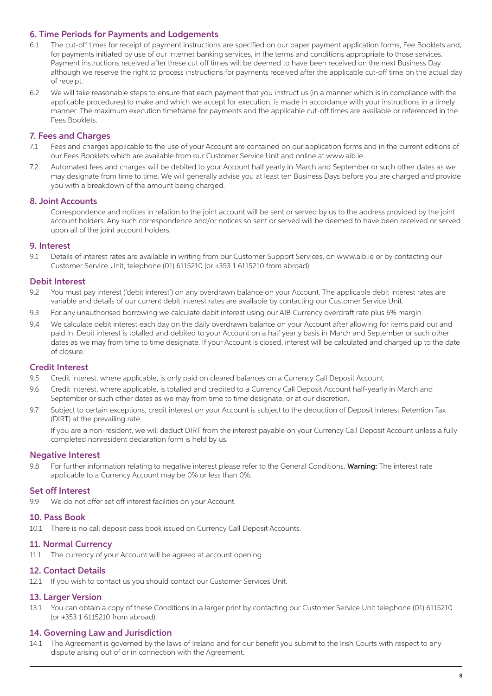#### 6. Time Periods for Payments and Lodgements

- 6.1 The cut-off times for receipt of payment instructions are specified on our paper payment application forms, Fee Booklets and, for payments initiated by use of our internet banking services, in the terms and conditions appropriate to those services. Payment instructions received after these cut off times will be deemed to have been received on the next Business Day although we reserve the right to process instructions for payments received after the applicable cut-off time on the actual day of receipt.
- 6.2 We will take reasonable steps to ensure that each payment that you instruct us (in a manner which is in compliance with the applicable procedures) to make and which we accept for execution, is made in accordance with your instructions in a timely manner. The maximum execution timeframe for payments and the applicable cut-off times are available or referenced in the Fees Booklets.

#### 7. Fees and Charges

- 7.1 Fees and charges applicable to the use of your Account are contained on our application forms and in the current editions of our Fees Booklets which are available from our Customer Service Unit and online at www.aib.ie.
- 7.2 Automated fees and charges will be debited to your Account half yearly in March and September or such other dates as we may designate from time to time. We will generally advise you at least ten Business Days before you are charged and provide you with a breakdown of the amount being charged.

#### 8. Joint Accounts

 Correspondence and notices in relation to the joint account will be sent or served by us to the address provided by the joint account holders. Any such correspondence and/or notices so sent or served will be deemed to have been received or served upon all of the joint account holders.

#### 9. Interest

9.1 Details of interest rates are available in writing from our Customer Support Services, on www.aib.ie or by contacting our Customer Service Unit, telephone (01) 6115210 (or +353 1 6115210 from abroad).

#### Debit Interest

- 9.2 You must pay interest ('debit interest') on any overdrawn balance on your Account. The applicable debit interest rates are variable and details of our current debit interest rates are available by contacting our Customer Service Unit.
- 9.3 For any unauthorised borrowing we calculate debit interest using our AIB Currency overdraft rate plus 6% margin.
- 9.4 We calculate debit interest each day on the daily overdrawn balance on your Account after allowing for items paid out and paid in. Debit interest is totalled and debited to your Account on a half yearly basis in March and September or such other dates as we may from time to time designate. If your Account is closed, interest will be calculated and charged up to the date of closure.

#### Credit Interest

- 9.5 Credit interest, where applicable, is only paid on cleared balances on a Currency Call Deposit Account.
- 9.6 Credit interest, where applicable, is totalled and credited to a Currency Call Deposit Account half-yearly in March and September or such other dates as we may from time to time designate, or at our discretion.
- 9.7 Subject to certain exceptions, credit interest on your Account is subject to the deduction of Deposit Interest Retention Tax (DIRT) at the prevailing rate.

 If you are a non-resident, we will deduct DIRT from the interest payable on your Currency Call Deposit Account unless a fully completed nonresident declaration form is held by us.

#### Negative Interest

9.8 For further information relating to negative interest please refer to the General Conditions. Warning: The interest rate applicable to a Currency Account may be 0% or less than 0%.

#### Set off Interest

9.9 We do not offer set off interest facilities on your Account.

#### 10. Pass Book

10.1 There is no call deposit pass book issued on Currency Call Deposit Accounts.

#### 11. Normal Currency

11.1 The currency of your Account will be agreed at account opening.

#### 12. Contact Details

12.1 If you wish to contact us you should contact our Customer Services Unit.

#### 13. Larger Version

13.1 You can obtain a copy of these Conditions in a larger print by contacting our Customer Service Unit telephone (01) 6115210 (or +353 1 6115210 from abroad).

#### 14. Governing Law and Jurisdiction

14.1 The Agreement is governed by the laws of Ireland and for our benefit you submit to the Irish Courts with respect to any dispute arising out of or in connection with the Agreement.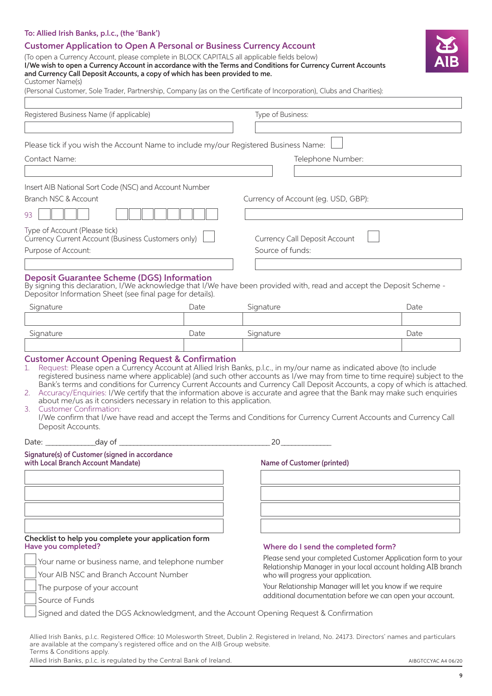| <b>Customer Application to Open A Personal or Business Currency Account</b><br>(To open a Currency Account, please complete in BLOCK CAPITALS all applicable fields below)<br>I/We wish to open a Currency Account in accordance with the Terms and Conditions for Currency Current Accounts<br>and Currency Call Deposit Accounts, a copy of which has been provided to me.<br>Customer Name(s)                                                                                                                                                                                                                                                                                                                                                                                                                                                  |                                                           |                                                                                                      |                                                                                                     |      |
|---------------------------------------------------------------------------------------------------------------------------------------------------------------------------------------------------------------------------------------------------------------------------------------------------------------------------------------------------------------------------------------------------------------------------------------------------------------------------------------------------------------------------------------------------------------------------------------------------------------------------------------------------------------------------------------------------------------------------------------------------------------------------------------------------------------------------------------------------|-----------------------------------------------------------|------------------------------------------------------------------------------------------------------|-----------------------------------------------------------------------------------------------------|------|
| (Personal Customer, Sole Trader, Partnership, Company (as on the Certificate of Incorporation), Clubs and Charities):                                                                                                                                                                                                                                                                                                                                                                                                                                                                                                                                                                                                                                                                                                                             |                                                           |                                                                                                      |                                                                                                     |      |
| Registered Business Name (if applicable)                                                                                                                                                                                                                                                                                                                                                                                                                                                                                                                                                                                                                                                                                                                                                                                                          |                                                           | Type of Business:                                                                                    |                                                                                                     |      |
|                                                                                                                                                                                                                                                                                                                                                                                                                                                                                                                                                                                                                                                                                                                                                                                                                                                   |                                                           |                                                                                                      |                                                                                                     |      |
|                                                                                                                                                                                                                                                                                                                                                                                                                                                                                                                                                                                                                                                                                                                                                                                                                                                   |                                                           |                                                                                                      |                                                                                                     |      |
| Please tick if you wish the Account Name to include my/our Registered Business Name:                                                                                                                                                                                                                                                                                                                                                                                                                                                                                                                                                                                                                                                                                                                                                              |                                                           |                                                                                                      |                                                                                                     |      |
| Contact Name:                                                                                                                                                                                                                                                                                                                                                                                                                                                                                                                                                                                                                                                                                                                                                                                                                                     |                                                           |                                                                                                      | Telephone Number:                                                                                   |      |
| Insert AIB National Sort Code (NSC) and Account Number                                                                                                                                                                                                                                                                                                                                                                                                                                                                                                                                                                                                                                                                                                                                                                                            |                                                           |                                                                                                      |                                                                                                     |      |
| Branch NSC & Account                                                                                                                                                                                                                                                                                                                                                                                                                                                                                                                                                                                                                                                                                                                                                                                                                              |                                                           |                                                                                                      | Currency of Account (eg. USD, GBP):                                                                 |      |
| 93                                                                                                                                                                                                                                                                                                                                                                                                                                                                                                                                                                                                                                                                                                                                                                                                                                                |                                                           |                                                                                                      |                                                                                                     |      |
| Type of Account (Please tick)                                                                                                                                                                                                                                                                                                                                                                                                                                                                                                                                                                                                                                                                                                                                                                                                                     |                                                           |                                                                                                      |                                                                                                     |      |
| Currency Current Account (Business Customers only)<br>Purpose of Account:                                                                                                                                                                                                                                                                                                                                                                                                                                                                                                                                                                                                                                                                                                                                                                         |                                                           | Currency Call Deposit Account<br>Source of funds:                                                    |                                                                                                     |      |
|                                                                                                                                                                                                                                                                                                                                                                                                                                                                                                                                                                                                                                                                                                                                                                                                                                                   |                                                           |                                                                                                      |                                                                                                     |      |
| <b>Deposit Guarantee Scheme (DGS) Information</b><br>By signing this declaration, I/We acknowledge that I/We have been provided with, read and accept the Deposit Scheme -<br>Depositor Information Sheet (see final page for details).                                                                                                                                                                                                                                                                                                                                                                                                                                                                                                                                                                                                           |                                                           |                                                                                                      |                                                                                                     |      |
| Signature                                                                                                                                                                                                                                                                                                                                                                                                                                                                                                                                                                                                                                                                                                                                                                                                                                         | Date                                                      | Signature                                                                                            |                                                                                                     | Date |
|                                                                                                                                                                                                                                                                                                                                                                                                                                                                                                                                                                                                                                                                                                                                                                                                                                                   |                                                           |                                                                                                      |                                                                                                     |      |
| Signature                                                                                                                                                                                                                                                                                                                                                                                                                                                                                                                                                                                                                                                                                                                                                                                                                                         | Date                                                      | Signature                                                                                            |                                                                                                     | Date |
| <b>Customer Account Opening Request &amp; Confirmation</b><br>Request: Please open a Currency Account at Allied Irish Banks, p.l.c., in my/our name as indicated above (to include<br>1.<br>registered business name where applicable) (and such other accounts as I/we may from time to time require) subject to the<br>Bank's terms and conditions for Currency Current Accounts and Currency Call Deposit Accounts, a copy of which is attached<br>Accuracy/Enquiries: I/We certify that the information above is accurate and agree that the Bank may make such enquiries<br>2.<br>about me/us as it considers necessary in relation to this application.<br><b>Customer Confirmation:</b><br>3.<br>I/We confirm that I/we have read and accept the Terms and Conditions for Currency Current Accounts and Currency Call<br>Deposit Accounts. |                                                           |                                                                                                      |                                                                                                     |      |
|                                                                                                                                                                                                                                                                                                                                                                                                                                                                                                                                                                                                                                                                                                                                                                                                                                                   |                                                           |                                                                                                      | $20 \qquad \qquad \overline{\qquad \qquad }$                                                        |      |
| Signature(s) of Customer (signed in accordance<br>with Local Branch Account Mandate)                                                                                                                                                                                                                                                                                                                                                                                                                                                                                                                                                                                                                                                                                                                                                              |                                                           |                                                                                                      | Name of Customer (printed)                                                                          |      |
|                                                                                                                                                                                                                                                                                                                                                                                                                                                                                                                                                                                                                                                                                                                                                                                                                                                   |                                                           |                                                                                                      |                                                                                                     |      |
|                                                                                                                                                                                                                                                                                                                                                                                                                                                                                                                                                                                                                                                                                                                                                                                                                                                   |                                                           |                                                                                                      |                                                                                                     |      |
| Checklist to help you complete your application form<br>Have you completed?                                                                                                                                                                                                                                                                                                                                                                                                                                                                                                                                                                                                                                                                                                                                                                       |                                                           |                                                                                                      |                                                                                                     |      |
|                                                                                                                                                                                                                                                                                                                                                                                                                                                                                                                                                                                                                                                                                                                                                                                                                                                   |                                                           |                                                                                                      | Where do I send the completed form?<br>Please send your completed Customer Application form to your |      |
| Your name or business name, and telephone number<br>Your AIB NSC and Branch Account Number                                                                                                                                                                                                                                                                                                                                                                                                                                                                                                                                                                                                                                                                                                                                                        |                                                           | Relationship Manager in your local account holding AIB branch<br>who will progress your application. |                                                                                                     |      |
| The purpose of your account                                                                                                                                                                                                                                                                                                                                                                                                                                                                                                                                                                                                                                                                                                                                                                                                                       | Your Relationship Manager will let you know if we require |                                                                                                      |                                                                                                     |      |
| Source of Funds                                                                                                                                                                                                                                                                                                                                                                                                                                                                                                                                                                                                                                                                                                                                                                                                                                   |                                                           |                                                                                                      | additional documentation before we can open your account.                                           |      |
| Signed and dated the DGS Acknowledgment, and the Account Opening Request & Confirmation                                                                                                                                                                                                                                                                                                                                                                                                                                                                                                                                                                                                                                                                                                                                                           |                                                           |                                                                                                      |                                                                                                     |      |
|                                                                                                                                                                                                                                                                                                                                                                                                                                                                                                                                                                                                                                                                                                                                                                                                                                                   |                                                           |                                                                                                      |                                                                                                     |      |

Allied Irish Banks, p.l.c. Registered Office: 10 Molesworth Street, Dublin 2. Registered in Ireland, No. 24173. Directors' names and particulars are available at the company's registered office and on the AIB Group website. Terms & Conditions apply.

To: Allied Irish Banks, p.l.c., (the 'Bank')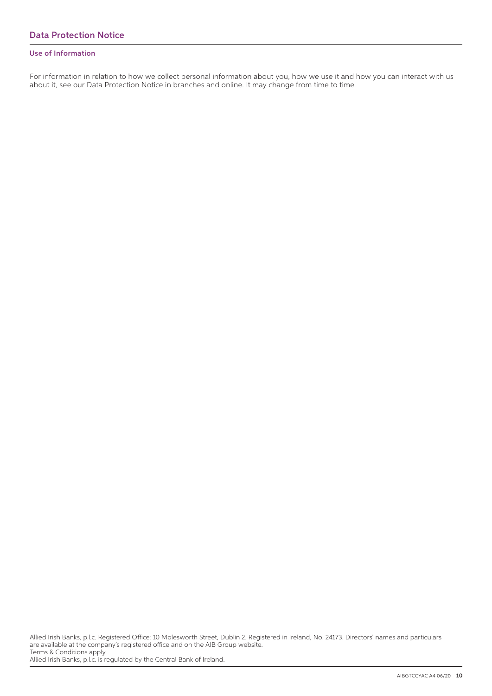#### Use of Information

For information in relation to how we collect personal information about you, how we use it and how you can interact with us about it, see our Data Protection Notice in branches and online. It may change from time to time.

Allied Irish Banks, p.l.c. is regulated by the Central Bank of Ireland.